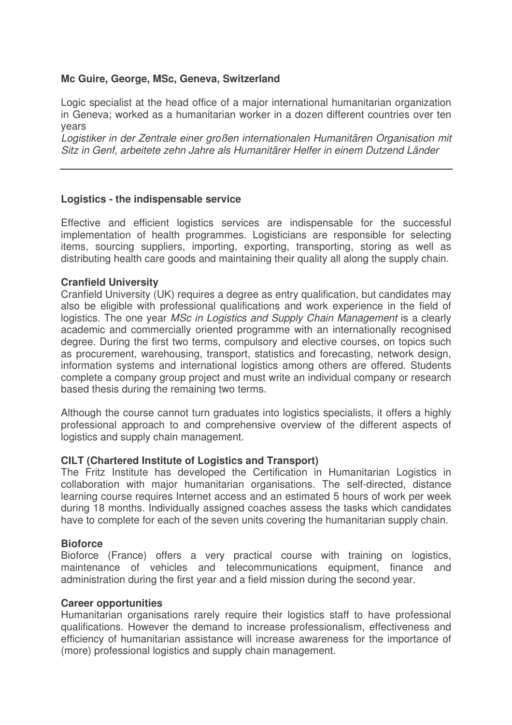## **Mc Guire, George, MSc, Geneva, Switzerland**

Logic specialist at the head office of a major international humanitarian organization in Geneva; worked as a humanitarian worker in a dozen different countries over ten years

*Logistiker in der Zentrale einer großen internationalen Humanitären Organisation mit Sitz in Genf, arbeitete zehn Jahre als Humanitärer Helfer in einem Dutzend Länder*

## **Logistics - the indispensable service**

Effective and efficient logistics services are indispensable for the successful implementation of health programmes. Logisticians are responsible for selecting items, sourcing suppliers, importing, exporting, transporting, storing as well as distributing health care goods and maintaining their quality all along the supply chain.

## **Cranfield University**

Cranfield University (UK) requires a degree as entry qualification, but candidates may also be eligible with professional qualifications and work experience in the field of logistics. The one year *MSc in Logistics and Supply Chain Management* is a clearly academic and commercially oriented programme with an internationally recognised degree. During the first two terms, compulsory and elective courses, on topics such as procurement, warehousing, transport, statistics and forecasting, network design, information systems and international logistics among others are offered. Students complete a company group project and must write an individual company or research based thesis during the remaining two terms.

Although the course cannot turn graduates into logistics specialists, it offers a highly professional approach to and comprehensive overview of the different aspects of logistics and supply chain management.

## **CILT (Chartered Institute of Logistics and Transport)**

The Fritz Institute has developed the Certification in Humanitarian Logistics in collaboration with major humanitarian organisations. The self-directed, distance learning course requires Internet access and an estimated 5 hours of work per week during 18 months. Individually assigned coaches assess the tasks which candidates have to complete for each of the seven units covering the humanitarian supply chain.

#### **Bioforce**

Bioforce (France) offers a very practical course with training on logistics, maintenance of vehicles and telecommunications equipment, finance and administration during the first year and a field mission during the second year.

#### **Career opportunities**

Humanitarian organisations rarely require their logistics staff to have professional qualifications. However the demand to increase professionalism, effectiveness and efficiency of humanitarian assistance will increase awareness for the importance of (more) professional logistics and supply chain management.